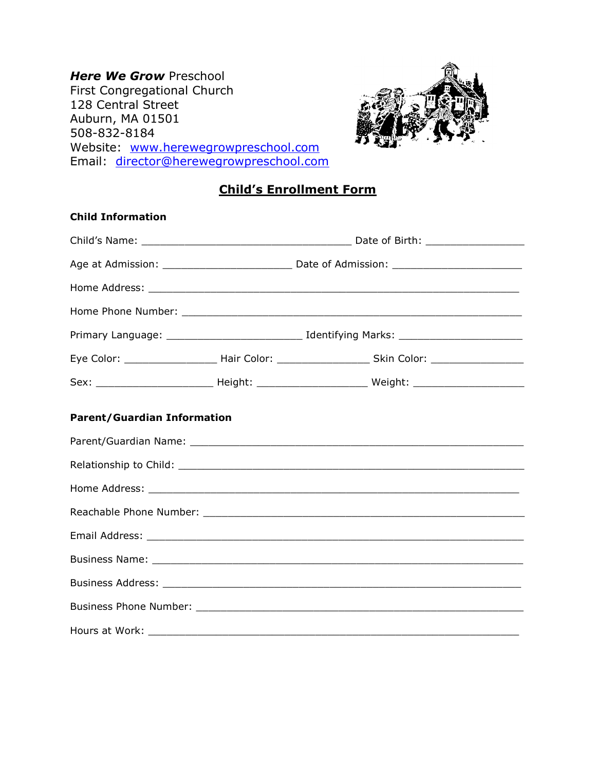Here We Grow Preschool First Congregational Church 128 Central Street Auburn, MA 01501 508-832-8184 Website: www.herewegrowpreschool.com Email: director@herewegrowpreschool.com



## Child's Enrollment Form

| <b>Child Information</b>           |  |                                                                                                                |  |
|------------------------------------|--|----------------------------------------------------------------------------------------------------------------|--|
|                                    |  |                                                                                                                |  |
|                                    |  |                                                                                                                |  |
|                                    |  |                                                                                                                |  |
|                                    |  |                                                                                                                |  |
|                                    |  |                                                                                                                |  |
|                                    |  | Eye Color: __________________________Hair Color: _______________________________Skin Color: __________________ |  |
|                                    |  |                                                                                                                |  |
| <b>Parent/Guardian Information</b> |  |                                                                                                                |  |
|                                    |  |                                                                                                                |  |
|                                    |  |                                                                                                                |  |
|                                    |  |                                                                                                                |  |
|                                    |  |                                                                                                                |  |
|                                    |  |                                                                                                                |  |
|                                    |  |                                                                                                                |  |
|                                    |  |                                                                                                                |  |
|                                    |  |                                                                                                                |  |
|                                    |  |                                                                                                                |  |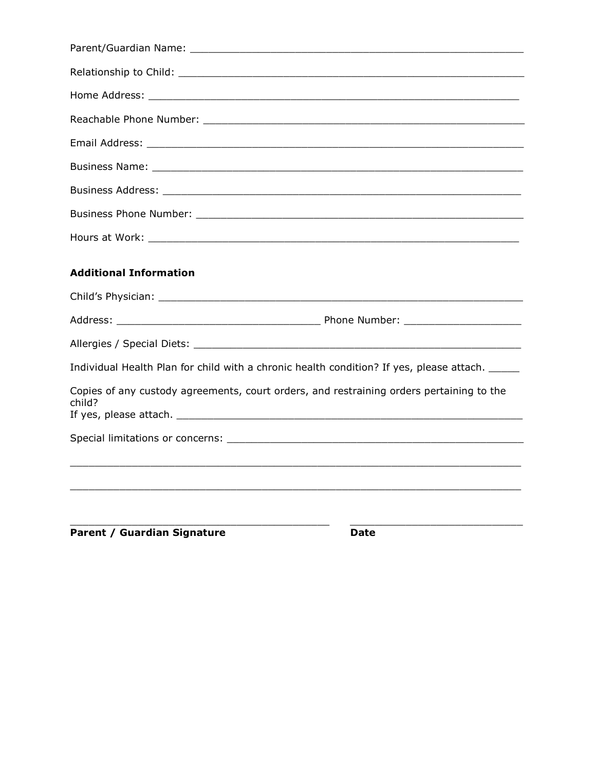| <b>Additional Information</b>                                                                      |
|----------------------------------------------------------------------------------------------------|
|                                                                                                    |
|                                                                                                    |
|                                                                                                    |
| Individual Health Plan for child with a chronic health condition? If yes, please attach. _____     |
| Copies of any custody agreements, court orders, and restraining orders pertaining to the<br>child? |
|                                                                                                    |
|                                                                                                    |
|                                                                                                    |
|                                                                                                    |
|                                                                                                    |

Parent / Guardian Signature

**Date**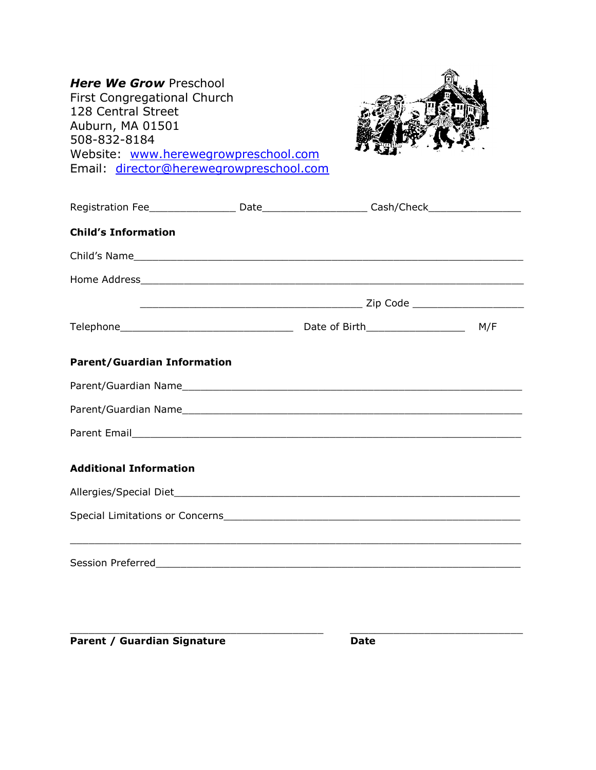| <b>Here We Grow Preschool</b><br>First Congregational Church<br>128 Central Street<br>Auburn, MA 01501<br>508-832-8184<br>Website: www.herewegrowpreschool.com<br>Email: director@herewegrowpreschool.com |  |  |  |
|-----------------------------------------------------------------------------------------------------------------------------------------------------------------------------------------------------------|--|--|--|
| Registration Fee _____________________ Date________________________ Cash/Check_____________________                                                                                                       |  |  |  |
| <b>Child's Information</b>                                                                                                                                                                                |  |  |  |
|                                                                                                                                                                                                           |  |  |  |
|                                                                                                                                                                                                           |  |  |  |
|                                                                                                                                                                                                           |  |  |  |
|                                                                                                                                                                                                           |  |  |  |
| <b>Parent/Guardian Information</b>                                                                                                                                                                        |  |  |  |
|                                                                                                                                                                                                           |  |  |  |
|                                                                                                                                                                                                           |  |  |  |
|                                                                                                                                                                                                           |  |  |  |
| <b>Additional Information</b>                                                                                                                                                                             |  |  |  |
| Allergies/Special Diet_                                                                                                                                                                                   |  |  |  |
|                                                                                                                                                                                                           |  |  |  |
| Session Preferred Management and Contract and Contract of the Contract of the Contract of the Contract of the                                                                                             |  |  |  |

Parent / Guardian Signature Date

 $\_$  , and the set of the set of the set of the set of the set of the set of the set of the set of the set of the set of the set of the set of the set of the set of the set of the set of the set of the set of the set of th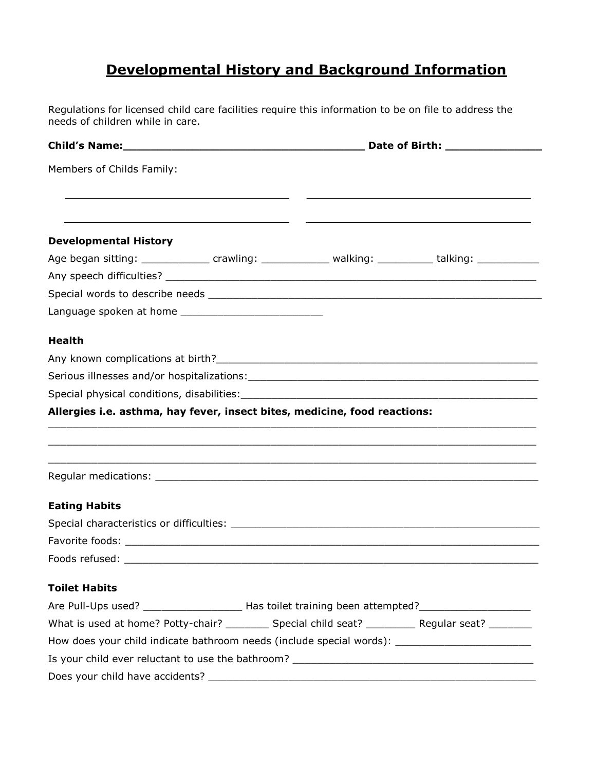# Developmental History and Background Information

Regulations for licensed child care facilities require this information to be on file to address the needs of children while in care.

| Members of Childs Family:                                                                                                                                                                                                      |  |  |  |  |
|--------------------------------------------------------------------------------------------------------------------------------------------------------------------------------------------------------------------------------|--|--|--|--|
|                                                                                                                                                                                                                                |  |  |  |  |
| <b>Developmental History</b>                                                                                                                                                                                                   |  |  |  |  |
| Age began sitting: _______________ crawling: ______________ walking: ___________ talking: __________                                                                                                                           |  |  |  |  |
|                                                                                                                                                                                                                                |  |  |  |  |
|                                                                                                                                                                                                                                |  |  |  |  |
|                                                                                                                                                                                                                                |  |  |  |  |
| <b>Health</b>                                                                                                                                                                                                                  |  |  |  |  |
|                                                                                                                                                                                                                                |  |  |  |  |
|                                                                                                                                                                                                                                |  |  |  |  |
|                                                                                                                                                                                                                                |  |  |  |  |
| Allergies i.e. asthma, hay fever, insect bites, medicine, food reactions:                                                                                                                                                      |  |  |  |  |
|                                                                                                                                                                                                                                |  |  |  |  |
|                                                                                                                                                                                                                                |  |  |  |  |
| <b>Eating Habits</b>                                                                                                                                                                                                           |  |  |  |  |
|                                                                                                                                                                                                                                |  |  |  |  |
|                                                                                                                                                                                                                                |  |  |  |  |
|                                                                                                                                                                                                                                |  |  |  |  |
| <b>Toilet Habits</b>                                                                                                                                                                                                           |  |  |  |  |
| Are Pull-Ups used? ________________________ Has toilet training been attempted?____________________                                                                                                                            |  |  |  |  |
| What is used at home? Potty-chair? __________ Special child seat? __________ Regular seat? _________                                                                                                                           |  |  |  |  |
| How does your child indicate bathroom needs (include special words): ______________________________                                                                                                                            |  |  |  |  |
|                                                                                                                                                                                                                                |  |  |  |  |
| Does your child have accidents? Does the control of the control of the control of the control of the control of the control of the control of the control of the control of the control of the control of the control of the c |  |  |  |  |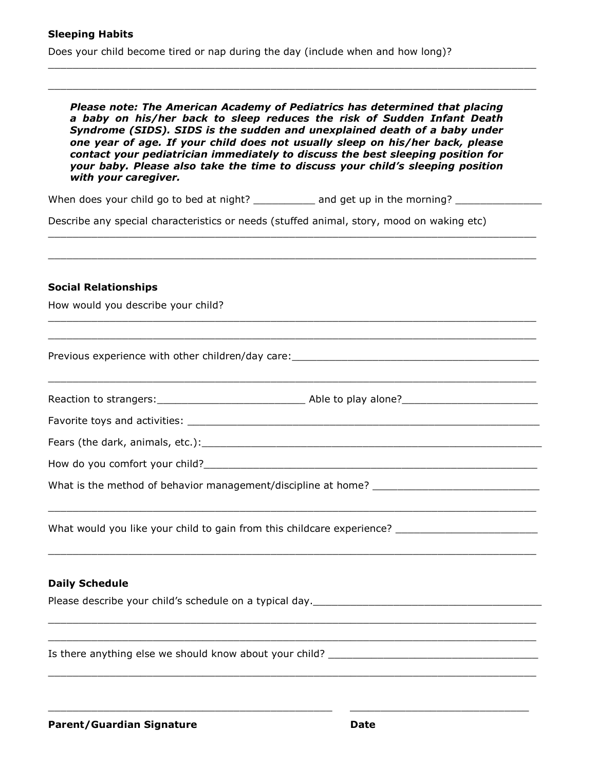Does your child become tired or nap during the day (include when and how long)?

Please note: The American Academy of Pediatrics has determined that placing a baby on his/her back to sleep reduces the risk of Sudden Infant Death Syndrome (SIDS). SIDS is the sudden and unexplained death of a baby under one year of age. If your child does not usually sleep on his/her back, please contact your pediatrician immediately to discuss the best sleeping position for your baby. Please also take the time to discuss your child's sleeping position with your caregiver.

\_\_\_\_\_\_\_\_\_\_\_\_\_\_\_\_\_\_\_\_\_\_\_\_\_\_\_\_\_\_\_\_\_\_\_\_\_\_\_\_\_\_\_\_\_\_\_\_\_\_\_\_\_\_\_\_\_\_\_\_\_\_\_\_\_\_\_\_\_\_\_\_\_\_\_\_\_\_\_

\_\_\_\_\_\_\_\_\_\_\_\_\_\_\_\_\_\_\_\_\_\_\_\_\_\_\_\_\_\_\_\_\_\_\_\_\_\_\_\_\_\_\_\_\_\_\_\_\_\_\_\_\_\_\_\_\_\_\_\_\_\_\_\_\_\_\_\_\_\_\_\_\_\_\_\_\_\_\_

\_\_\_\_\_\_\_\_\_\_\_\_\_\_\_\_\_\_\_\_\_\_\_\_\_\_\_\_\_\_\_\_\_\_\_\_\_\_\_\_\_\_\_\_\_\_\_\_\_\_\_\_\_\_\_\_\_\_\_\_\_\_\_\_\_\_\_\_\_\_\_\_\_\_\_\_\_\_\_ \_\_\_\_\_\_\_\_\_\_\_\_\_\_\_\_\_\_\_\_\_\_\_\_\_\_\_\_\_\_\_\_\_\_\_\_\_\_\_\_\_\_\_\_\_\_\_\_\_\_\_\_\_\_\_\_\_\_\_\_\_\_\_\_\_\_\_\_\_\_\_\_\_\_\_\_\_\_\_

\_\_\_\_\_\_\_\_\_\_\_\_\_\_\_\_\_\_\_\_\_\_\_\_\_\_\_\_\_\_\_\_\_\_\_\_\_\_\_\_\_\_\_\_\_\_\_\_\_\_\_\_\_\_\_\_\_\_\_\_\_\_\_\_\_\_\_\_\_\_\_\_\_\_\_\_\_\_\_

\_\_\_\_\_\_\_\_\_\_\_\_\_\_\_\_\_\_\_\_\_\_\_\_\_\_\_\_\_\_\_\_\_\_\_\_\_\_\_\_\_\_\_\_\_\_\_\_\_\_\_\_\_\_\_\_\_\_\_\_\_\_\_\_\_\_\_\_\_\_\_\_\_\_\_\_\_\_\_

When does your child go to bed at night? \_\_\_\_\_\_\_\_\_\_\_ and get up in the morning? \_\_\_\_\_\_\_\_\_\_\_\_\_

Describe any special characteristics or needs (stuffed animal, story, mood on waking etc)

#### Social Relationships

How would you describe your child?

Previous experience with other children/day care:

Reaction to strangers: entitled as a set of the Able to play alone?

\_\_\_\_\_\_\_\_\_\_\_\_\_\_\_\_\_\_\_\_\_\_\_\_\_\_\_\_\_\_\_\_\_\_\_\_\_\_\_\_\_\_\_\_\_\_\_\_\_\_\_\_\_\_\_\_\_\_\_\_\_\_\_\_\_\_\_\_\_\_\_\_\_\_\_\_\_\_\_

\_\_\_\_\_\_\_\_\_\_\_\_\_\_\_\_\_\_\_\_\_\_\_\_\_\_\_\_\_\_\_\_\_\_\_\_\_\_\_\_\_\_\_\_\_\_\_\_\_\_\_\_\_\_\_\_\_\_\_\_\_\_\_\_\_\_\_\_\_\_\_\_\_\_\_\_\_\_\_

\_\_\_\_\_\_\_\_\_\_\_\_\_\_\_\_\_\_\_\_\_\_\_\_\_\_\_\_\_\_\_\_\_\_\_\_\_\_\_\_\_\_\_\_\_\_\_\_\_\_\_\_\_\_\_\_\_\_\_\_\_\_\_\_\_\_\_\_\_\_\_\_\_\_\_\_\_\_\_ \_\_\_\_\_\_\_\_\_\_\_\_\_\_\_\_\_\_\_\_\_\_\_\_\_\_\_\_\_\_\_\_\_\_\_\_\_\_\_\_\_\_\_\_\_\_\_\_\_\_\_\_\_\_\_\_\_\_\_\_\_\_\_\_\_\_\_\_\_\_\_\_\_\_\_\_\_\_\_

\_\_\_\_\_\_\_\_\_\_\_\_\_\_\_\_\_\_\_\_\_\_\_\_\_\_\_\_\_\_\_\_\_\_\_\_\_\_\_\_\_\_\_\_\_\_\_\_\_\_\_\_\_\_\_\_\_\_\_\_\_\_\_\_\_\_\_\_\_\_\_\_\_\_\_\_\_\_\_

\_\_\_\_\_\_\_\_\_\_\_\_\_\_\_\_\_\_\_\_\_\_\_\_\_\_\_\_\_\_\_\_\_\_\_\_\_\_\_\_\_\_\_\_\_\_ \_\_\_\_\_\_\_\_\_\_\_\_\_\_\_\_\_\_\_\_\_\_\_\_\_\_\_\_\_

 $\_$  ,  $\_$  ,  $\_$  ,  $\_$  ,  $\_$  ,  $\_$  ,  $\_$  ,  $\_$  ,  $\_$  ,  $\_$  ,  $\_$  ,  $\_$  ,  $\_$  ,  $\_$  ,  $\_$  ,  $\_$  ,  $\_$  ,  $\_$  ,  $\_$  ,  $\_$  ,  $\_$  ,  $\_$  ,  $\_$  ,  $\_$  ,  $\_$  ,  $\_$  ,  $\_$  ,  $\_$  ,  $\_$  ,  $\_$  ,  $\_$  ,  $\_$  ,  $\_$  ,  $\_$  ,  $\_$  ,  $\_$  ,  $\_$  ,

Favorite toys and activities: **Example 2018** 

Fears (the dark, animals, etc.):\_\_\_\_\_\_\_\_\_\_\_\_\_\_\_\_\_\_\_\_\_\_\_\_\_\_\_\_\_\_\_\_\_\_\_\_\_\_\_\_\_\_\_\_\_\_\_\_\_\_\_\_\_\_\_

How do you comfort your child?

What is the method of behavior management/discipline at home? \_\_\_\_\_\_\_\_\_\_\_\_\_\_\_\_\_\_\_\_\_\_\_\_\_\_\_

What would you like your child to gain from this childcare experience?

#### Daily Schedule

Please describe your child's schedule on a typical day.\_\_\_\_\_\_\_\_\_\_\_\_\_\_\_\_\_\_\_\_\_\_\_\_\_\_\_\_\_\_\_\_\_\_\_\_\_

Is there anything else we should know about your child? \_\_\_\_\_\_\_\_\_\_\_\_\_\_\_\_\_\_\_\_\_\_\_\_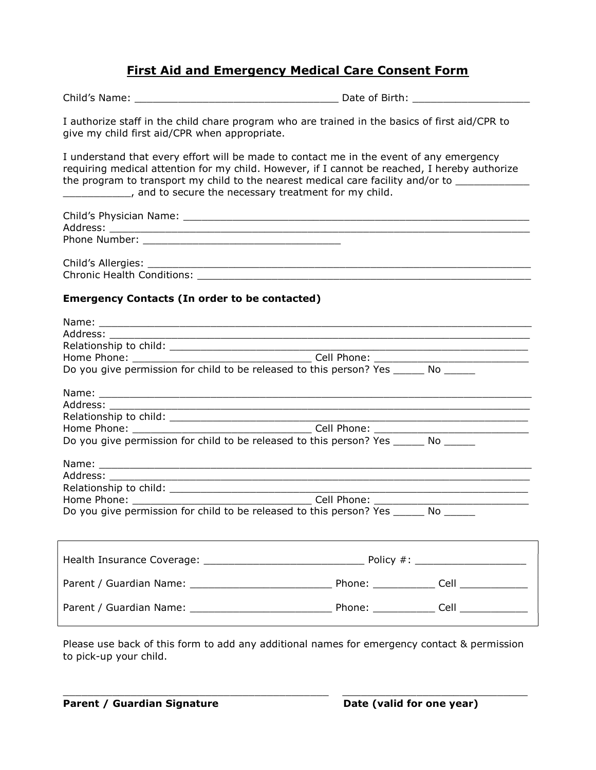## First Aid and Emergency Medical Care Consent Form

| I authorize staff in the child chare program who are trained in the basics of first aid/CPR to<br>give my child first aid/CPR when appropriate.                                                                                                                                                                                                               |  |  |  |  |  |  |
|---------------------------------------------------------------------------------------------------------------------------------------------------------------------------------------------------------------------------------------------------------------------------------------------------------------------------------------------------------------|--|--|--|--|--|--|
| I understand that every effort will be made to contact me in the event of any emergency<br>requiring medical attention for my child. However, if I cannot be reached, I hereby authorize<br>the program to transport my child to the nearest medical care facility and/or to ___________<br>____________, and to secure the necessary treatment for my child. |  |  |  |  |  |  |
|                                                                                                                                                                                                                                                                                                                                                               |  |  |  |  |  |  |
|                                                                                                                                                                                                                                                                                                                                                               |  |  |  |  |  |  |
| <b>Emergency Contacts (In order to be contacted)</b>                                                                                                                                                                                                                                                                                                          |  |  |  |  |  |  |
| Address: Andreas Address and A<br>Do you give permission for child to be released to this person? Yes ______ No ______<br>Do you give permission for child to be released to this person? Yes ______ No ______<br>Do you give permission for child to be released to this person? Yes _______ No ______                                                       |  |  |  |  |  |  |
|                                                                                                                                                                                                                                                                                                                                                               |  |  |  |  |  |  |
|                                                                                                                                                                                                                                                                                                                                                               |  |  |  |  |  |  |
|                                                                                                                                                                                                                                                                                                                                                               |  |  |  |  |  |  |
|                                                                                                                                                                                                                                                                                                                                                               |  |  |  |  |  |  |

Please use back of this form to add any additional names for emergency contact & permission to pick-up your child.

 $\_$  , and the set of the set of the set of the set of the set of the set of the set of the set of the set of the set of the set of the set of the set of the set of the set of the set of the set of the set of the set of th